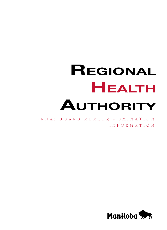# **Regional Health Authority**

(RHA) Bo ar d Me mb e r no m i n a t i o n info rma tion

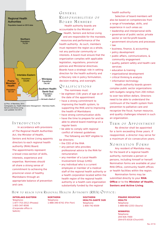

(c) Prov. of Manitoba, 2014

Cartography by: Health Information Management - Manitoba Health, Seniors and Active Living Last updated: Oct 2014

## INTRODUCTION

In accordance with provisions of The Regional Health Authorities Act, the Minister of Health, Seniors and Active Living appoints directors to each regional health authority (RHA) Board. The appointments represent a broad cross-section of skills, interests, experience and expertise. Nominees should all share a strong sense of commitment to achieving the provincial vision of healthy Manitobans through an appropriate balance of prevention and care.

### GENERAL RESPONSIBILITIES OF BOARD MEMBERS

Health authority boards are accountable to the Minister of Health, Seniors and Active Living and are responsible for the mandate, resources and performance of the health authority. As such, members must represent the region as a whole, not any particular community or interests. A board must ensure that the organization complies with applicable legislation, regulations, provincial policies and Ministerial directives. Boards have a strategic role in setting direction for the health authority and a fiduciary role in policy formulation, decision-making, and oversight.

#### Q u a l i f i c a t i o n s The nominees must:

- be eighteen (18) years of age as of the date of the appointment
- have a strong commitment to improving the health system, to supporting the RHA and to improving the health of Manitobans
- have strong communication skills
- have the time to prepare for and be able to attend board meetings on a regular basis
- be able to comply with regional conflict of interest guidelines The following are NOT eligible to
- be directors:
- the CEO of the RHA
- any person who provides professional advice to the RHA for remuneration
- any member of a Local Health Involvement Group (LHIG)
- any individual who is a current employee or member of a medical staff of the regional health authority or a health corporation located within the health region of the regional health authority or a health care organization substantially funded by the regional

health authority

Selection of board members will also be based on competencies from a range of knowledge, skills, and experience in such areas as:

- leadership and interpersonal skills
- governance of public sector, private sector or not-for-profit boards
- government structures and processes
- law
- business, finance, & accounting
- policy development
- public affairs, communications, & community engagement
- quality, patient safety and health care services
- education & training
- organizational development
- critical thinking & analysis
- information technology

Health authority boards govern complex public sector organizations with budgets ranging from 200 million to over two billion dollars. Directors need to be able to understand the continuum of the health system from prevention to palliative care and recognize the fiscal, human resource, and quality challenges inherent in such an organization.

## TERM OF APPOINTMENT

No director shall be appointed for a term exceeding three years. If reappointed, a director may serve for a maximum of six consecutive years.

#### NOMINATION FORMS

Any resident of Manitoba may, for the board of a regional health authority, nominate a person or persons, including himself or herself. Nomination forms are available at your RHA Office, community health offices or health facilities within the region.

Nomination forms may be submitted directly to your **RHA Office** or to the **Minister of Health, Seniors and Active Living**.

#### How to reach your Regional Health Authority (RHA)  $O$  FFICE:

#### **Interlake-Eastern**

Telephone: 1-877-753-2012 (Pinawa) 1-855-347-8500 (Corporate office in Selkirk)

**NORTHERN** Telephone: 1-888-340-6742 (Flin Flon) **SOUTHERN HEALTH–SANTÉ SUD** Telephone: 1-800-742-6509

**PRAIRIE MOUNTAIN HEALTH** Telephone: 1-888-682-2253 (Souris)

**WINNIPEG** Telephone: 204-926-7000 204-675-8318 (Churchill)